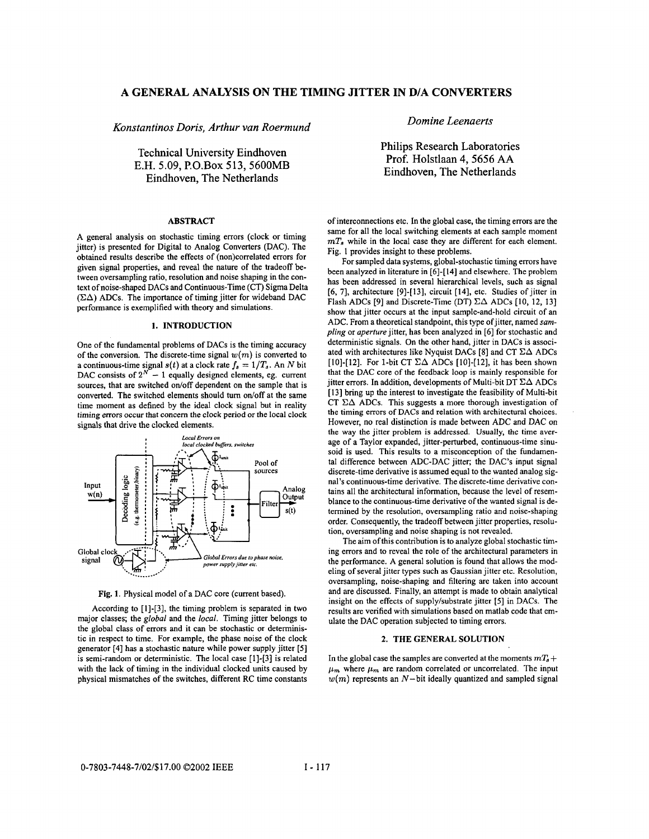# **A GENERAL ANALYSIS ON THE TIMING JITTER IN D/A CONVERTERS**

*Konstantinos Doris, Arthur van Roermund* 

Technical University Eindhoven E.H. 5.09, P.O.Box 513, 5600MB Eindhoven, The Netherlands

#### **ABSTRACT**

A general analysis on stochastic timing errors (clock or timing jitter) is presented for Digital to Analog Converters (DAC). The obtained results describe the effects of (non)correlated errors for given signal properties, and reveal the nature of the tradeoff between oversampling ratio, resolution and noise shaping in the context of noise-shaped DACs and Continuous-Time (CT) Sigma Delta  $(\Sigma \Delta)$  ADCs. The importance of timing jitter for wideband DAC performance is exemplified with theory and simulations.

## **1. INTRODUCTION**

One of the fundamental problems of DACs is the timing accuracy of the conversion. The discrete-time signal  $w(m)$  is converted to a continuous-time signal  $s(t)$  at a clock rate  $f_s = 1/T_s$ . An N bit DAC consists of  $2^N - 1$  equally designed elements, eg. current sources, that are switched on/off dependent on the sample that is converted. The switched elements should turn on/off at the same time moment as defined by the ideal clock signal but in reality timing errors occur that concern the clock period or the local clock signals that drive the clocked elements.



Fig. **1.** Physical model of a DAC core (current based).

According to [I]-[3], the timing problem is separated in two major classes; the *global* and the *local.* Timing jitter belongs to the global class of errors and it can be stochastic or deterministic in respect to time. For example, the phase noise of the clock generator [4] has a stochastic nature while power supply jitter [5] is semi-random or deterministic. The local case [1]-[3] is related with the lack of timing in the individual clocked units caused by physical mismatches of the switches, different RC time constants *Domine Leenaerts* 

Philips Research Laboratories Prof. Holstlaan 4,5656 **AA**  Eindhoven, The Netherlands

of interconnections etc. In the global case, the timing errors are the same for all the local switching elements at each sample moment  $mT<sub>s</sub>$  while in the local case they are different for each element. Fig. **1** provides insight to these problems.

For sampled **data** systems, global-stochastic timing errors have been analyzed in literature in [6]-[I41 and elsewhere. The problem has been addressed in several hierarchical levels, such as signal  $[6, 7]$ , architecture  $[9]$ - $[13]$ , circuit  $[14]$ , etc. Studies of jitter in Flash ADCs [9] and Discrete-Time (DT)  $\Sigma\Delta$  ADCs [10, 12, 13] show that jitter occurs at the input sample-and-hold circuit of an ADC. From a theoretical standpoint, this type of jitter, named *sampling* or *aperture* jitter, has been analyzed in [6] for stochastic and deterministic signals. On the other hand, jitter in DACs is associated with architectures like Nyquist DACs [8] and CT  $\Sigma\Delta$  ADCs [IO]-[12]. For 1-bit CT **EA** ADCs [IO]-[12], it has been shown that the DAC core of the feedback loop is mainly responsible for jitter errors. In addition, developments of Multi-bit DT  $\Sigma\Delta$  ADCs [13] bring up the interest to investigate the feasibility of Multi-bit CT  $\Sigma\Delta$  ADCs. This suggests a more thorough investigation of the timing errors of DACs and relation with architectural choices. However, no real distinction is made between ADC and DAC on the way the jitter problem is addressed. Usually, the time average of a Taylor expanded, jitter-perturbed, continuous-time sinusoid is used. This results to a misconception of the fundamental difference between ADC-DAC jitter; the DAC's input signal discrete-time derivative is assumed equal to the wanted analog signal's continuous-time derivative. The discrete-time derivative contains all the architectural information, because the level of resemblance to the continuous-time derivative of the wanted signal is determined by the resolution, oversampling ratio and noise-shaping order. Consequently, the tradeoff between jitter properties, resolution, oversampling and noise shaping is not revealed.

The aim of this contribution is to analyze global stochastic timing errors and to reveal the role of the architectural parameters in the performance. A general solution is found that allows the modeling of several jitter types such as Gaussian jitter etc. Resolution, oversampling, noise-shaping and filtering are taken into account and are discussed. Finally, an attempt is made to obtain analytical insight on the effects of supply/substrate jitter [5] in DACs. The results are verified with simulations based on matlab code that emulate the DAC operation subjected to timing errors.

# **2. THE GENERAL SOLUTION**

In the global case the samples are converted at the moments  $mT_s +$  $\mu_m$  where  $\mu_m$  are random correlated or uncorrelated. The input  $w(m)$  represents an  $N$ -bit ideally quantized and sampled signal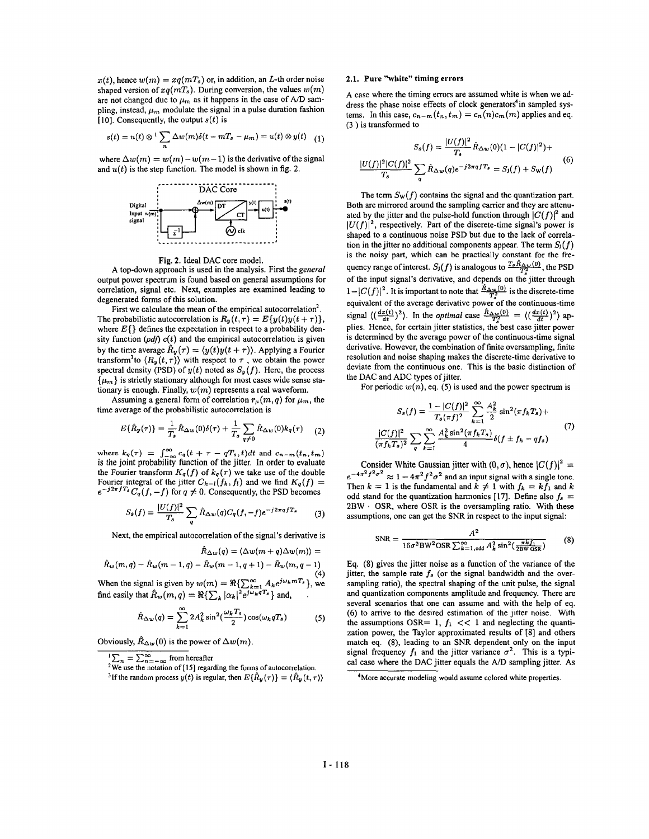$x(t)$ , hence  $w(m) = xq(mT_s)$  or, in addition, an L-th order noise shaped version of  $xq(mT_s)$ . During conversion, the values  $w(m)$ are not changed due to  $\mu_m$  as it happens in the case of  $A/D$  sampling, instead,  $\mu_m$  modulate the signal in a pulse duration fashion [IO], Consequently, the output *s(t)* is

$$
s(t) = u(t) \otimes \sqrt[1]{\sum_{n} \Delta w(m) \delta(t - mT_s - \mu_m)} = u(t) \otimes y(t) \quad (1)
$$

where  $\Delta w(m) = w(m)-w(m-1)$  is the derivative of the signal



Fig. **2.** Ideal DAC core model.

A top-down approach is used in the analysis. First the general output power spectrum is found based on general assumptions for correlation, signal etc. Next, examples are examined leading to degenerated forms of this solution.

The probabilistic autocorrelation is  $R_y(t, \tau) = E\{y(t)y(t + \tau)\},$ where  $E\{\}$  defines the expectation in respect to a probability density function  $(pdf) c(t)$  and the empirical autocorrelation is given by the time average  $\hat{R}_y(\tau) = \langle y(t)y(t + \tau) \rangle$ . Applying a Fourier transform<sup>3</sup> to  $\langle R_y(t,\tau) \rangle$  with respect to  $\tau$ , we obtain the power spectral density (PSD) of  $y(t)$  noted as  $S_y(f)$ . Here, the process  $\{\mu_m\}$  is strictly stationary although for most cases wide sense stationary is enough. Finally,  $w(m)$  represents a real waveform. First we calculate the mean of the empirical autocorrelation<sup>2</sup>.

Assuming a general form of correlation  $r_{\mu}(m, q)$  for  $\mu_m$ , the time average of the probabilistic autocorrelation is

$$
E\{\hat{R}_y(\tau)\} = \frac{1}{T_s}\hat{R}_{\Delta w}(0)\delta(\tau) + \frac{1}{T_s}\sum_{q\neq 0}\hat{R}_{\Delta w}(0)k_q(\tau) \qquad (2)
$$

where  $k_q(\tau) = \int_{-\infty}^{\infty} c_q(t + \tau - qT_s, t) dt$  and  $c_{n-m}(t_n, t_m)$  is the joint probability function of the jitter. In order to evaluate the Fourier transform  $K_q(f)$  of  $k_q(\tau)$  we take use of the double Fourier integral of the jitter  $C_{k-l}(f_k, f_l)$  and we find  $K_q(f)$  =  $e^{-j2\pi fT_s}C_q(f, -f)$  for  $q \neq 0$ . Consequently, the PSD becomes

$$
S_s(f) = \frac{|U(f)|^2}{T_s} \sum_q \hat{R}_{\Delta w}(q) C_q(f, -f) e^{-j2\pi q f T_s}
$$
 (3)

Next, the empirical autocorrelation of the signal's derivative is

$$
\hat{R}_{\Delta w}(q) = \langle \Delta w(m+q) \Delta w(m) \rangle =
$$
  

$$
\hat{R}_w(m,q) - \hat{R}_w(m-1,q) - \hat{R}_w(m-1,q+1) - \hat{R}_w(m,q-1)
$$

**(4)**  When the signal is given by  $w(m) = \Re{\sum_{k=1}^{\infty} A_k e^{j\omega_k mT_s}}$ , we

find easily that 
$$
\hat{R}_w(m,q) = \Re{\{\sum_k |\alpha_k|^2 e^{j\omega_k qT_s}\}}
$$
 and,

$$
\hat{R}_{\Delta w}(q) = \sum_{k=1}^{\infty} 2A_k^2 \sin^2(\frac{\omega_k T_s}{2}) \cos(\omega_k q T_s)
$$
 (5)

Obviously,  $\hat{R}_{\Delta w}(0)$  is the power of  $\Delta w(m)$ .

 $\sum_{n=-\infty}^{\infty}$  from hereafter

#### **2.1. Pure "white" timing errors**

A case where the timing errors are assumed white is when we address the phase noise effects of clock generators<sup>4</sup>in sampled systems. In this case,  $c_{n-m}(t_n, t_m) = c_n(n)c_m(m)$  applies and eq. (3 ) is transformed to

$$
S_s(f) = \frac{|U(f)|^2}{T_s} \hat{R}_{\Delta w}(0)(1 - |C(f)|^2) +
$$
  

$$
\frac{|U(f)|^2|C(f)|^2}{T_s} \sum_{q} \hat{R}_{\Delta w}(q)e^{-j2\pi qfT_s} = S_j(f) + S_w(f)
$$
 (6)

The term  $S_{W}(f)$  contains the signal and the quantization part. Both are mirrored around the sampling carrier and they are attenuated by the jitter and the pulse-hold function through  $|C(f)|^2$  and  $|U(f)|^2$ , respectively. Part of the discrete-time signal's power is shaped to a continuous noise PSD but due to the lack of correlation in the jitter no additional components appear. The term  $S<sub>J</sub>(f)$ is the noisy part, which can be practically constant for the frequency range of interest.  $S_J(f)$  is analogous to  $\frac{T_s \hat{R}_{\Delta w}(0)}{T^2}$ , the PSD of the input signal's derivative, and depends on the jitter through  $1-|C(f)|^2$ . It is important to note that  $\frac{\hat{R}_{\Delta w}(0)}{T_s^2}$  is the discrete-time equivalent of the average derivative power of the continuous-time  $1 - |\psi(y)|$ . It is important to foot that  $-\frac{T_2}{T_3}$  is the discrete-three-<br>equivalent of the average derivative power of the continuous-time<br>signal  $\left(\frac{dx(t)}{dt}\right)^2$ . In the *optimal* case  $\frac{\hat{R}_{AV_0}(0)}{T_2} = \left(\frac{dx(t)}{dt}\right)^$ is determined by the average power of the continuous-time signal derivative. However, the combination of finite oversampling, finite resolution and noise shaping makes the discrete-time derivative to deviate from the continuous one. This is the basic distinction of the DAC and ADC types of jitter.

For periodic  $w(n)$ , eq. (5) is used and the power spectrum is

$$
S_s(f) = \frac{1 - |C(f)|^2}{T_s(\pi f)^2} \sum_{k=1}^{\infty} \frac{A_k^2}{2} \sin^2(\pi f_k T_s) +
$$
  

$$
\frac{|C(f)|^2}{(\pi f_k T_s)^2} \sum_{q} \sum_{k=1}^{\infty} \frac{A_k^2 \sin^2(\pi f_k T_s)}{4} \delta(f \pm f_k - q f_s)
$$
 (7)

Consider White Gaussian jitter with  $(0, \sigma)$ , hence  $|C(f)|^2 =$ Consider White Gaussian jitter with  $(0, \sigma)$ , hence  $|C(f)|^2 =$ <br> $e^{-4\pi^2 f^2 \sigma^2} \approx 1 - 4\pi^2 f^2 \sigma^2$  and an input signal with a single tone. Then  $k = 1$  is the fundamental and  $k \neq 1$  with  $f_k = kf_1$  and  $k$ odd stand for the quantization harmonics [17]. Define also  $f_s =$ 2BW . OSR, where OSR is the oversampling ratio. With these assumptions, one can get the SNR in respect to the input signal:

$$
SNR = \frac{A^2}{16\sigma^2 BW^2OSR\sum_{k=1, odd}^{\infty} A_k^2 \sin^2(\frac{\pi k f_1}{2BWOSR})}
$$
(8)

Eq. (8) gives the jitter noise as a function of the variance of the jitter, the sample rate  $f_s$  (or the signal bandwidth and the oversampling ratio), the spectral shaping of the unit pulse, the signal and quantization components amplitude and frequency. There are several scenarios that one can assume and with the help of eq. (6) to arrive to the desired estimation of the jitter noise. With the assumptions OSR= 1,  $f_1$  << 1 and neglecting the quantization power, the Taylor approximated results of [8] and others match eq. (8), leading to an SNR dependent only on the input signal frequency  $f_1$  and the jitter variance  $\sigma^2$ . This is a typical case where the DAC jitter equals the *A/D* sampling jitter. As

<sup>&</sup>lt;sup>2</sup>We use the notation of [15] regarding the forms of autocorrelation.

<sup>&</sup>lt;sup>3</sup>If the random process  $y(t)$  is regular, then  $E{\hat{R}_y(\tau)} = {\hat{R}_y(t, \tau)}$ 

**<sup>4</sup>M0re** accurate modeling would assume colored white properties.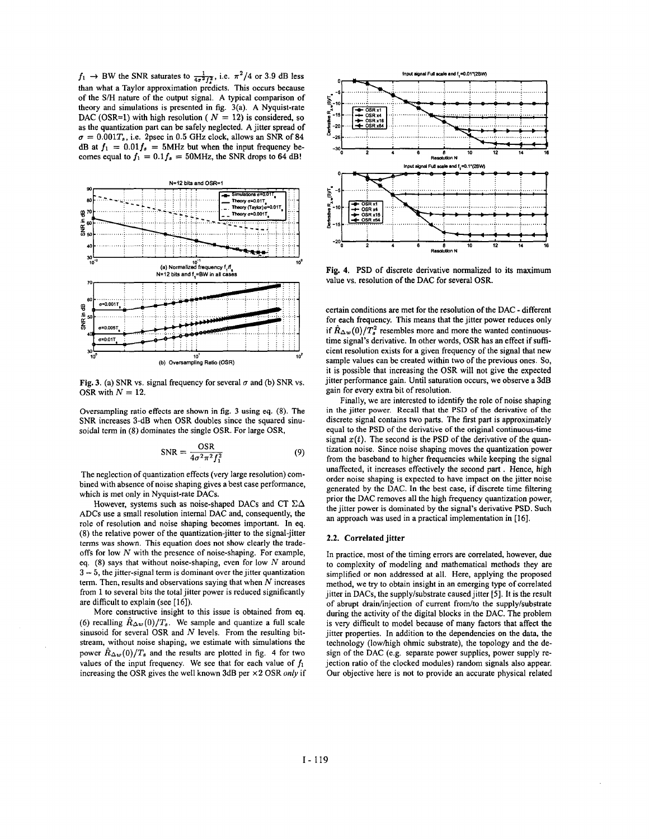$f_1 \rightarrow BW$  the SNR saturates to  $\frac{1}{4\sigma^2 f^2}$ , i.e.  $\pi^2/4$  or 3.9 dB less than what a Taylor approximation predicts. This occurs because of the *S/H* nature of the output signal. **A** typical comparison **of**  theory and simulations is presented in fig. 3(a). **A** Nyquist-rate DAC (OSR=1) with high resolution ( $N = 12$ ) is considered, so as the quantization part can be safely neglected. **A** jitter spread of  $\sigma = 0.001T_s$ , i.e. 2psec in 0.5 *GHz clock*, allows an SNR of 84 dB at  $f_1 = 0.01 f_s = 5$ MHz but when the input frequency becomes equal to  $f_1 = 0.1 f_s = 50$ MHz, the SNR drops to 64 dB!



**Fig. 3.** (a) SNR vs. signal frequency for several  $\sigma$  and (b) SNR vs. OSR with  $N = 12$ .

Oversampling ratio effects are shown in fig. 3 using eq. (8). The SNR increases 3-dB when OSR doubles since the squared sinusoidal term in (8) dominates the single OSR. For large OSR,

$$
SNR = \frac{OSR}{4\sigma^2 \pi^2 f_1^2}
$$
 (9)

The neglection of quantization effects (very large resolution) combined with absence of noise shaping gives a best case performance, which is met only in Nyquist-rate **DACs.** 

However, systems such as noise-shaped **DACs** and CT **CA ADCs** use a small resolution internal **DAC** and, consequently, the role of resolution and noise shaping becomes important. In eq. (8) the relative power of the quantization-jitter to the signal-jitter terms was shown. This equation does not show clearly the tradeoffs for low  $N$  with the presence of noise-shaping. For example, eq. (8) says that without noise-shaping, even for low  $N$  around  $3-5$ , the jitter-signal term is dominant over the jitter quantization term. Then, results and observations saying that when  $N$  increases from 1 to several bits the total jitter power is reduced significantly are difficult to explain (see [16]).

More constructive insight to this issue is obtained from eq. (6) recalling  $\hat{R}_{\Delta w}(0)/T_s$ . We sample and quantize a full scale sinusoid for several OSR and  $N$  levels. From the resulting bitstream, without noise shaping, we estimate with simulations the power  $\hat{R}_{\Delta w}(0)/T_s$  and the results are plotted in fig. 4 for two values of the input frequency. We see that for each value of  $f_1$ increasing the OSR gives the well known 3dB per **x** 2 OSR *only* if



**Fig. 4. PSD** of discrete derivative normalized to its maximum value vs. resolution of the **DAC** for several OSR.

certain conditions are met for the resolution of the **DAC** - different for each frequency. This means that the jitter power reduces only if  $\hat{R}_{\Delta w}(0)/T_s^2$  resembles more and more the wanted continuoustime signal's derivative. In other words, OSR has an effect if sufficient resolution exists for a given frequency of the signal that new sample values can be created within two of the previous ones. So, it is possible that increasing the OSR will not give the expected jitter performance gain. Until saturation occurs, we observe a 3dB gain for every extra bit of resolution.

Finally, we are interested to identify the role of noise shaping in the jitter power. Recall that the PSD of the derivative of the discrete signal contains two parts. The first part is approximately equal to the **PSD** of the derivative of the original continuous-time signal  $x(t)$ . The second is the **PSD** of the derivative of the quantization noise. Since noise shaping moves the quantization power from the baseband to higher frequencies while keeping the signal unaffected, it increases effectively the second part . Hence, high order noise shaping is expected to have impact on the jitter noise generated by the **DAC.** In the best case, if discrete time filtering prior the **DAC** removes all the high frequency quantization power, the jitter power is dominated by the signal's derivative **PSD.** Such an approach was used in a practical implementation in **[16].** 

## **2.2. Correlated jitter**

In practice, most of the timing errors are correlated, however, due to complexity of modeling and mathematical methods they are simplified or non addressed at all. Here, applying the proposed method, we try to obtain insight in an emerging type of correlated jitter in **DACs,** the supply/substrate caused jitter *[5].* It is the result of abrupt drain/injection of current from/to the supply/substrate during the activity of the digital blocks in the **DAC.** The problem is very difficult to model because of many factors that affect the jitter properties. In addition to the dependencies on the data, the technology (lowhigh ohmic substrate), the topology and the design of the **DAC** (e.g. separate power supplies, power supply rejection ratio of the clocked modules) random signals also appear. Our objective here is not to provide an accurate physical related